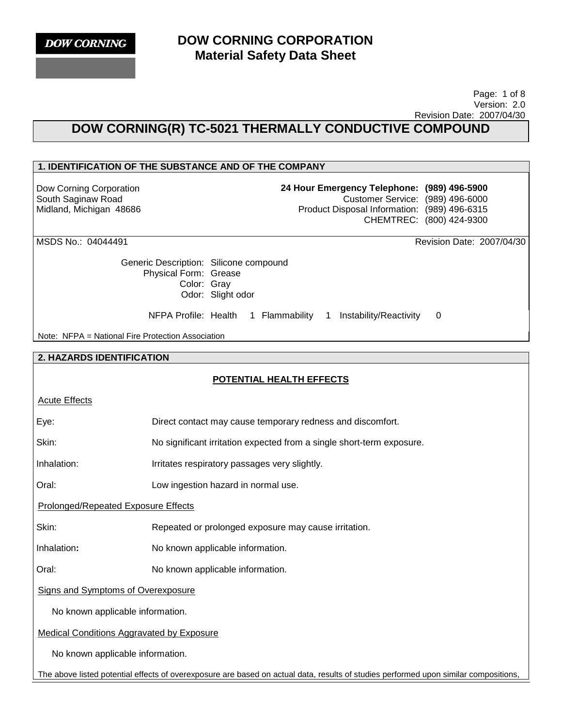

 Page: 1 of 8 Version: 2.0 Revision Date: 2007/04/30

# **DOW CORNING(R) TC-5021 THERMALLY CONDUCTIVE COMPOUND**

## **1. IDENTIFICATION OF THE SUBSTANCE AND OF THE COMPANY**

Dow Corning Corporation South Saginaw Road Midland, Michigan 48686 **24 Hour Emergency Telephone: (989) 496-5900** Customer Service: (989) 496-6000 Product Disposal Information: (989) 496-6315 CHEMTREC: (800) 424-9300

MSDS No.: 04044491 Revision Date: 2007/04/30

Generic Description: Silicone compound Physical Form: Grease Color: Gray Odor: Slight odor

NFPA Profile: Health 1 Flammability 1 Instability/Reactivity 0

Note: NFPA = National Fire Protection Association

#### **2. HAZARDS IDENTIFICATION**

## **POTENTIAL HEALTH EFFECTS**

Eye: Direct contact may cause temporary redness and discomfort.

Skin: No significant irritation expected from a single short-term exposure.

Inhalation: Irritates respiratory passages very slightly.

Oral: Low ingestion hazard in normal use.

Prolonged/Repeated Exposure Effects

Skin: Repeated or prolonged exposure may cause irritation.

Inhalation**:** No known applicable information.

Oral: No known applicable information.

Signs and Symptoms of Overexposure

No known applicable information.

Medical Conditions Aggravated by Exposure

No known applicable information.

The above listed potential effects of overexposure are based on actual data, results of studies performed upon similar compositions,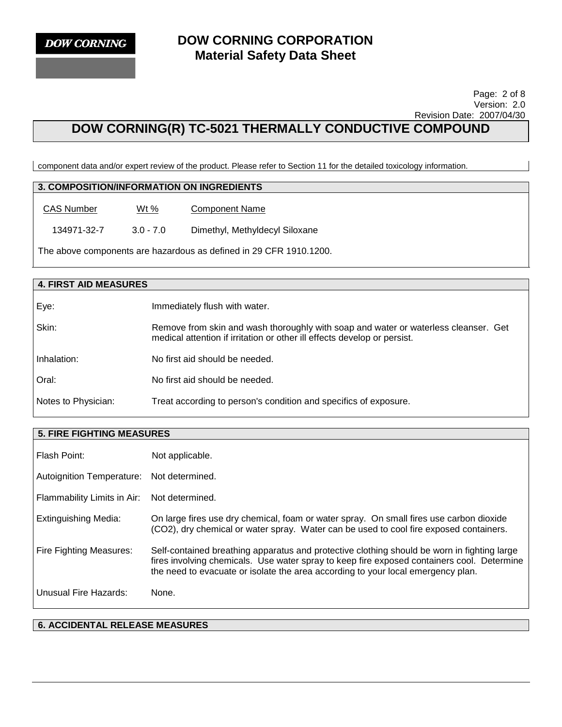

#### Page: 2 of 8 Version: 2.0 Revision Date: 2007/04/30

# **DOW CORNING(R) TC-5021 THERMALLY CONDUCTIVE COMPOUND**

component data and/or expert review of the product. Please refer to Section 11 for the detailed toxicology information.

## **3. COMPOSITION/INFORMATION ON INGREDIENTS**

CAS Number Wt% Component Name

134971-32-7 3.0 - 7.0 Dimethyl, Methyldecyl Siloxane

The above components are hazardous as defined in 29 CFR 1910.1200.

| <b>4. FIRST AID MEASURES</b> |                                                                                                                                                                 |  |
|------------------------------|-----------------------------------------------------------------------------------------------------------------------------------------------------------------|--|
| Eye:                         | Immediately flush with water.                                                                                                                                   |  |
| Skin:                        | Remove from skin and wash thoroughly with soap and water or waterless cleanser. Get<br>medical attention if irritation or other ill effects develop or persist. |  |
| Inhalation:                  | No first aid should be needed.                                                                                                                                  |  |
| Oral:                        | No first aid should be needed.                                                                                                                                  |  |
| Notes to Physician:          | Treat according to person's condition and specifics of exposure.                                                                                                |  |

| <b>5. FIRE FIGHTING MEASURES</b> |                                                                                                                                                                                                                                                                               |  |
|----------------------------------|-------------------------------------------------------------------------------------------------------------------------------------------------------------------------------------------------------------------------------------------------------------------------------|--|
| Flash Point:                     | Not applicable.                                                                                                                                                                                                                                                               |  |
| Autoignition Temperature:        | Not determined.                                                                                                                                                                                                                                                               |  |
| Flammability Limits in Air:      | Not determined.                                                                                                                                                                                                                                                               |  |
| Extinguishing Media:             | On large fires use dry chemical, foam or water spray. On small fires use carbon dioxide<br>(CO2), dry chemical or water spray. Water can be used to cool fire exposed containers.                                                                                             |  |
| Fire Fighting Measures:          | Self-contained breathing apparatus and protective clothing should be worn in fighting large<br>fires involving chemicals. Use water spray to keep fire exposed containers cool. Determine<br>the need to evacuate or isolate the area according to your local emergency plan. |  |
| Unusual Fire Hazards:            | None.                                                                                                                                                                                                                                                                         |  |

## **6. ACCIDENTAL RELEASE MEASURES**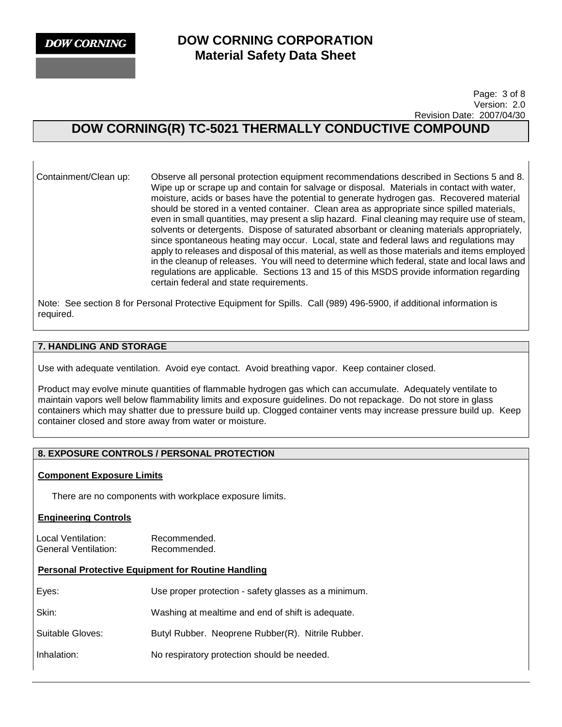**DOW CORNING** 

## **DOW CORNING CORPORATION Material Safety Data Sheet**

 Page: 3 of 8 Version: 2.0 Revision Date: 2007/04/30

# **DOW CORNING(R) TC-5021 THERMALLY CONDUCTIVE COMPOUND**

Containment/Clean up: Observe all personal protection equipment recommendations described in Sections 5 and 8. Wipe up or scrape up and contain for salvage or disposal. Materials in contact with water, moisture, acids or bases have the potential to generate hydrogen gas. Recovered material should be stored in a vented container. Clean area as appropriate since spilled materials, even in small quantities, may present a slip hazard. Final cleaning may require use of steam, solvents or detergents. Dispose of saturated absorbant or cleaning materials appropriately, since spontaneous heating may occur. Local, state and federal laws and regulations may apply to releases and disposal of this material, as well as those materials and items employed in the cleanup of releases. You will need to determine which federal, state and local laws and regulations are applicable. Sections 13 and 15 of this MSDS provide information regarding certain federal and state requirements.

Note: See section 8 for Personal Protective Equipment for Spills. Call (989) 496-5900, if additional information is required.

## **7. HANDLING AND STORAGE**

Use with adequate ventilation. Avoid eye contact. Avoid breathing vapor. Keep container closed.

Product may evolve minute quantities of flammable hydrogen gas which can accumulate. Adequately ventilate to maintain vapors well below flammability limits and exposure guidelines. Do not repackage. Do not store in glass containers which may shatter due to pressure build up. Clogged container vents may increase pressure build up. Keep container closed and store away from water or moisture.

## **8. EXPOSURE CONTROLS / PERSONAL PROTECTION**

#### **Component Exposure Limits**

There are no components with workplace exposure limits.

#### **Engineering Controls**

Local Ventilation: Recommended. General Ventilation: Recommended.

## **Personal Protective Equipment for Routine Handling**

| Eyes:            | Use proper protection - safety glasses as a minimum. |
|------------------|------------------------------------------------------|
| Skin:            | Washing at mealtime and end of shift is adequate.    |
| Suitable Gloves: | Butyl Rubber. Neoprene Rubber(R). Nitrile Rubber.    |
| Inhalation:      | No respiratory protection should be needed.          |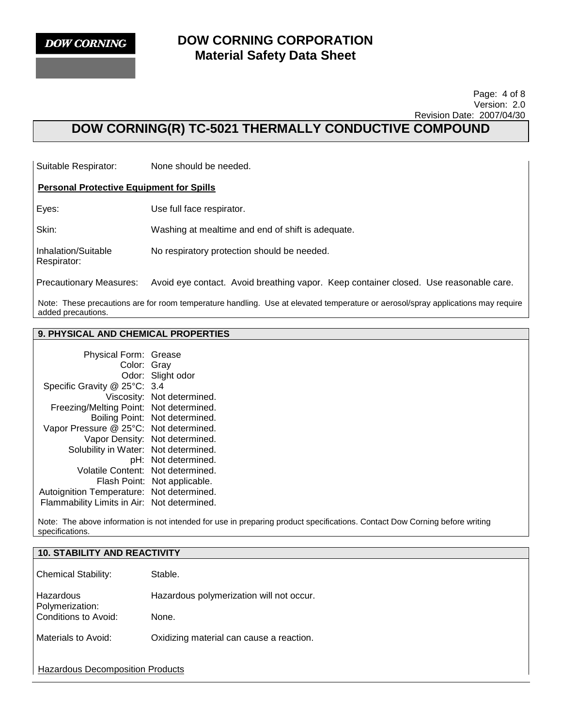

Respirator:

## **DOW CORNING CORPORATION Material Safety Data Sheet**

#### Page: 4 of 8 Version: 2.0 Revision Date: 2007/04/30

# **DOW CORNING(R) TC-5021 THERMALLY CONDUCTIVE COMPOUND**

Suitable Respirator: None should be needed.

#### **Personal Protective Equipment for Spills**

Eyes: Use full face respirator.

Skin: Washing at mealtime and end of shift is adequate.

Inhalation/Suitable No respiratory protection should be needed.

Precautionary Measures: Avoid eye contact. Avoid breathing vapor. Keep container closed. Use reasonable care.

Note: These precautions are for room temperature handling. Use at elevated temperature or aerosol/spray applications may require added precautions.

## **9. PHYSICAL AND CHEMICAL PROPERTIES**

| Physical Form: Grease       |                            |
|-----------------------------|----------------------------|
| Color: Gray                 |                            |
| Odor:                       | Slight odor                |
| Specific Gravity @ 25°C:    | 3.4                        |
|                             | Viscosity: Not determined. |
| Freezing/Melting Point:     | Not determined.            |
| Boiling Point:              | Not determined.            |
| Vapor Pressure @ 25°C:      | Not determined.            |
| Vapor Density:              | Not determined.            |
| Solubility in Water:        | Not determined.            |
| pH:                         | Not determined.            |
| <b>Volatile Content:</b>    | Not determined.            |
| Flash Point:                | Not applicable.            |
| Autoignition Temperature:   | Not determined.            |
| Flammability Limits in Air: | Not determined.            |

Note: The above information is not intended for use in preparing product specifications. Contact Dow Corning before writing specifications.

| <b>10. STABILITY AND REACTIVITY</b>     |                                          |  |
|-----------------------------------------|------------------------------------------|--|
| <b>Chemical Stability:</b>              | Stable.                                  |  |
| <b>Hazardous</b><br>Polymerization:     | Hazardous polymerization will not occur. |  |
| Conditions to Avoid:                    | None.                                    |  |
| Materials to Avoid:                     | Oxidizing material can cause a reaction. |  |
| <b>Hazardous Decomposition Products</b> |                                          |  |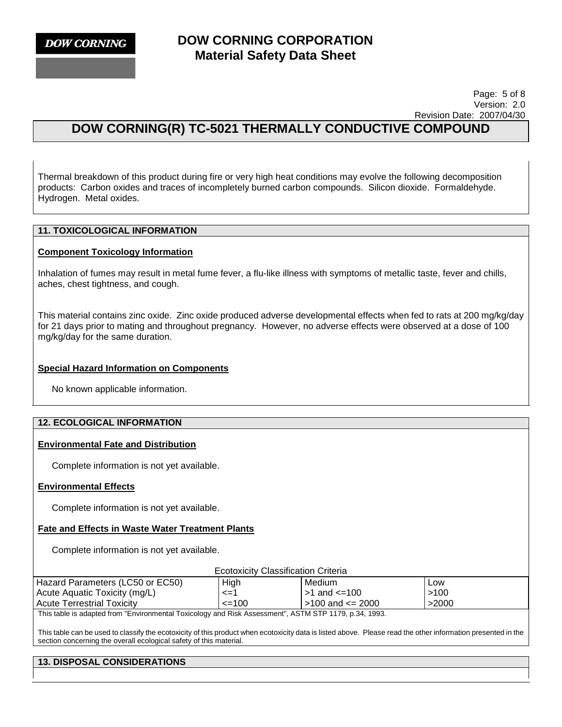**DOW CORNING** 

## **DOW CORNING CORPORATION Material Safety Data Sheet**

 Page: 5 of 8 Version: 2.0 Revision Date: 2007/04/30

# **DOW CORNING(R) TC-5021 THERMALLY CONDUCTIVE COMPOUND**

Thermal breakdown of this product during fire or very high heat conditions may evolve the following decomposition products: Carbon oxides and traces of incompletely burned carbon compounds. Silicon dioxide. Formaldehyde. Hydrogen. Metal oxides.

## **11. TOXICOLOGICAL INFORMATION**

#### **Component Toxicology Information**

Inhalation of fumes may result in metal fume fever, a flu-like illness with symptoms of metallic taste, fever and chills, aches, chest tightness, and cough.

This material contains zinc oxide. Zinc oxide produced adverse developmental effects when fed to rats at 200 mg/kg/day for 21 days prior to mating and throughout pregnancy. However, no adverse effects were observed at a dose of 100 mg/kg/day for the same duration.

#### **Special Hazard Information on Components**

No known applicable information.

#### **12. ECOLOGICAL INFORMATION**

### **Environmental Fate and Distribution**

Complete information is not yet available.

#### **Environmental Effects**

Complete information is not yet available.

#### **Fate and Effects in Waste Water Treatment Plants**

Complete information is not yet available.

| <b>Ecotoxicity Classification Criteria</b> |  |
|--------------------------------------------|--|
|                                            |  |

| Hazard Parameters (LC50 or EC50)                                                                                                                                                                                                | High       | Medium                 | <b>Low</b> |
|---------------------------------------------------------------------------------------------------------------------------------------------------------------------------------------------------------------------------------|------------|------------------------|------------|
| Acute Aquatic Toxicity (mg/L)                                                                                                                                                                                                   | <=′        | $>1$ and $\leq=100$    | >100       |
| <b>Acute Terrestrial Toxicity</b>                                                                                                                                                                                               | $\leq$ 100 | $>100$ and $\leq$ 2000 | >2000      |
| $\tau$ . The state of the contract of the contract of the contract of the contract of the contract of the contract of the contract of the contract of the contract of the contract of the contract of the contract of the contr |            |                        |            |

This table is adapted from "Environmental Toxicology and Risk Assessment", ASTM STP 1179, p.34, 1993.

This table can be used to classify the ecotoxicity of this product when ecotoxicity data is listed above. Please read the other information presented in the section concerning the overall ecological safety of this material.

## **13. DISPOSAL CONSIDERATIONS**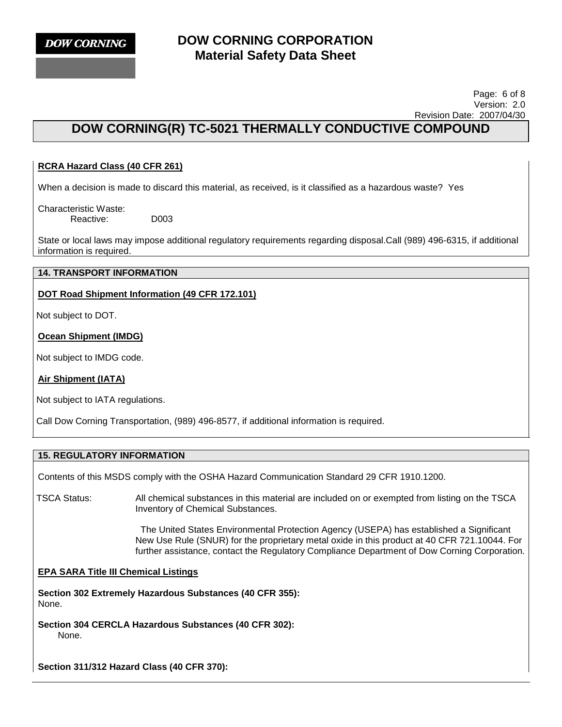

#### Page: 6 of 8 Version: 2.0 Revision Date: 2007/04/30

# **DOW CORNING(R) TC-5021 THERMALLY CONDUCTIVE COMPOUND**

## **RCRA Hazard Class (40 CFR 261)**

When a decision is made to discard this material, as received, is it classified as a hazardous waste? Yes

Characteristic Waste: Reactive: D003

State or local laws may impose additional regulatory requirements regarding disposal.Call (989) 496-6315, if additional information is required.

### **14. TRANSPORT INFORMATION**

## **DOT Road Shipment Information (49 CFR 172.101)**

Not subject to DOT.

## **Ocean Shipment (IMDG)**

Not subject to IMDG code.

## **Air Shipment (IATA)**

Not subject to IATA regulations.

Call Dow Corning Transportation, (989) 496-8577, if additional information is required.

## **15. REGULATORY INFORMATION**

Contents of this MSDS comply with the OSHA Hazard Communication Standard 29 CFR 1910.1200.

TSCA Status: All chemical substances in this material are included on or exempted from listing on the TSCA Inventory of Chemical Substances.

> The United States Environmental Protection Agency (USEPA) has established a Significant New Use Rule (SNUR) for the proprietary metal oxide in this product at 40 CFR 721.10044. For further assistance, contact the Regulatory Compliance Department of Dow Corning Corporation.

## **EPA SARA Title III Chemical Listings**

**Section 302 Extremely Hazardous Substances (40 CFR 355):**  None.

**Section 304 CERCLA Hazardous Substances (40 CFR 302):**  None.

**Section 311/312 Hazard Class (40 CFR 370):**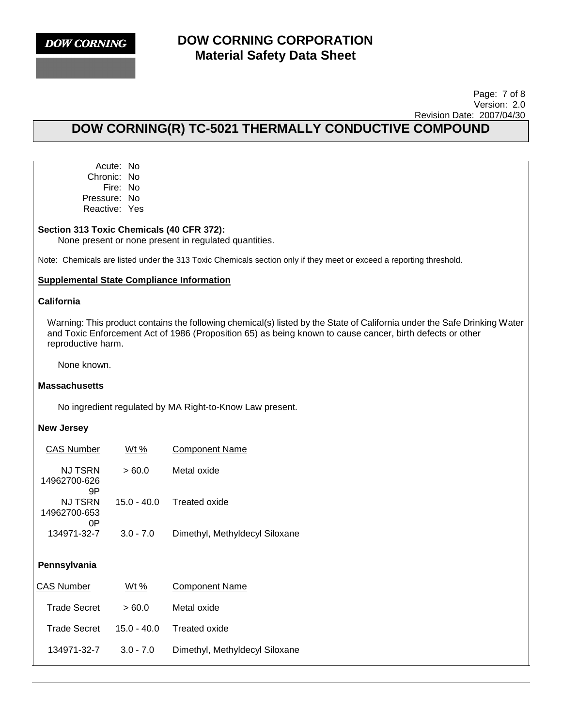

#### Page: 7 of 8 Version: 2.0 Revision Date: 2007/04/30

# **DOW CORNING(R) TC-5021 THERMALLY CONDUCTIVE COMPOUND**

Acute: No Chronic: No Fire: No Pressure: No Reactive: Yes

#### **Section 313 Toxic Chemicals (40 CFR 372):**

None present or none present in regulated quantities.

Note: Chemicals are listed under the 313 Toxic Chemicals section only if they meet or exceed a reporting threshold.

#### **Supplemental State Compliance Information**

#### **California**

Warning: This product contains the following chemical(s) listed by the State of California under the Safe Drinking Water and Toxic Enforcement Act of 1986 (Proposition 65) as being known to cause cancer, birth defects or other reproductive harm.

None known.

#### **Massachusetts**

No ingredient regulated by MA Right-to-Know Law present.

#### **New Jersey**

| <b>CAS Number</b>             | <u>Wt %</u>   | <b>Component Name</b>          |
|-------------------------------|---------------|--------------------------------|
| NJ TSRN<br>14962700-626<br>9Ρ | >60.0         | Metal oxide                    |
| NJ TSRN<br>14962700-653<br>0P | 15.0 - 40.0   | Treated oxide                  |
| 134971-32-7                   | $3.0 - 7.0$   | Dimethyl, Methyldecyl Siloxane |
| Pennsylvania                  |               |                                |
| CAS Number                    | Wt %          | Component Name                 |
| Trade Secret                  | >60.0         | Metal oxide                    |
| Trade Secret                  | $15.0 - 40.0$ | Treated oxide                  |

134971-32-7 3.0 - 7.0 Dimethyl, Methyldecyl Siloxane